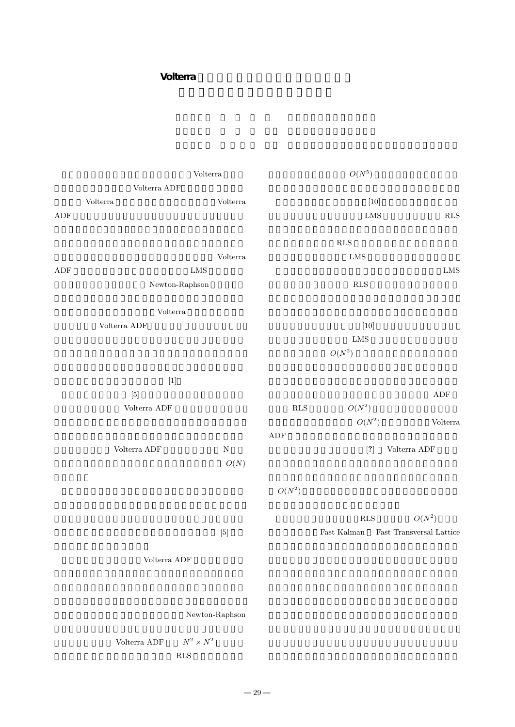## **Volterra**

|                                                                                                                                                                                                                                                                                                                                                                                                       | $\mbox{Volterra}$                                                                                                                                                                                                                                                                                                                                                                                                                                                                                                                                                                                                                                                                                                                                                                                                                                                                                                                                   |                   |                    | $\mathcal{O}(N^5)$                                                                                                                                                                                                                                                                                                                                                                                                                                                                                                                                                                                                                                                                                                                                                                                                                                                                                                                                                                                                                                                                                                                                                                                                    |                                                            |  |
|-------------------------------------------------------------------------------------------------------------------------------------------------------------------------------------------------------------------------------------------------------------------------------------------------------------------------------------------------------------------------------------------------------|-----------------------------------------------------------------------------------------------------------------------------------------------------------------------------------------------------------------------------------------------------------------------------------------------------------------------------------------------------------------------------------------------------------------------------------------------------------------------------------------------------------------------------------------------------------------------------------------------------------------------------------------------------------------------------------------------------------------------------------------------------------------------------------------------------------------------------------------------------------------------------------------------------------------------------------------------------|-------------------|--------------------|-----------------------------------------------------------------------------------------------------------------------------------------------------------------------------------------------------------------------------------------------------------------------------------------------------------------------------------------------------------------------------------------------------------------------------------------------------------------------------------------------------------------------------------------------------------------------------------------------------------------------------------------------------------------------------------------------------------------------------------------------------------------------------------------------------------------------------------------------------------------------------------------------------------------------------------------------------------------------------------------------------------------------------------------------------------------------------------------------------------------------------------------------------------------------------------------------------------------------|------------------------------------------------------------|--|
|                                                                                                                                                                                                                                                                                                                                                                                                       | Volterra ${\rm ADF}$                                                                                                                                                                                                                                                                                                                                                                                                                                                                                                                                                                                                                                                                                                                                                                                                                                                                                                                                |                   |                    |                                                                                                                                                                                                                                                                                                                                                                                                                                                                                                                                                                                                                                                                                                                                                                                                                                                                                                                                                                                                                                                                                                                                                                                                                       |                                                            |  |
|                                                                                                                                                                                                                                                                                                                                                                                                       | $\operatorname{Volterra}$                                                                                                                                                                                                                                                                                                                                                                                                                                                                                                                                                                                                                                                                                                                                                                                                                                                                                                                           | $\mbox{Volterra}$ |                    | $[10]$                                                                                                                                                                                                                                                                                                                                                                                                                                                                                                                                                                                                                                                                                                                                                                                                                                                                                                                                                                                                                                                                                                                                                                                                                |                                                            |  |
| ${\rm ADF}$                                                                                                                                                                                                                                                                                                                                                                                           |                                                                                                                                                                                                                                                                                                                                                                                                                                                                                                                                                                                                                                                                                                                                                                                                                                                                                                                                                     |                   |                    | ${\rm LMS}$                                                                                                                                                                                                                                                                                                                                                                                                                                                                                                                                                                                                                                                                                                                                                                                                                                                                                                                                                                                                                                                                                                                                                                                                           | $\mathbf{RLS}$                                             |  |
|                                                                                                                                                                                                                                                                                                                                                                                                       |                                                                                                                                                                                                                                                                                                                                                                                                                                                                                                                                                                                                                                                                                                                                                                                                                                                                                                                                                     |                   |                    |                                                                                                                                                                                                                                                                                                                                                                                                                                                                                                                                                                                                                                                                                                                                                                                                                                                                                                                                                                                                                                                                                                                                                                                                                       |                                                            |  |
|                                                                                                                                                                                                                                                                                                                                                                                                       |                                                                                                                                                                                                                                                                                                                                                                                                                                                                                                                                                                                                                                                                                                                                                                                                                                                                                                                                                     |                   |                    | $\mathbf{RLS}$                                                                                                                                                                                                                                                                                                                                                                                                                                                                                                                                                                                                                                                                                                                                                                                                                                                                                                                                                                                                                                                                                                                                                                                                        |                                                            |  |
|                                                                                                                                                                                                                                                                                                                                                                                                       |                                                                                                                                                                                                                                                                                                                                                                                                                                                                                                                                                                                                                                                                                                                                                                                                                                                                                                                                                     | $\rm Volterra$    |                    | LMS                                                                                                                                                                                                                                                                                                                                                                                                                                                                                                                                                                                                                                                                                                                                                                                                                                                                                                                                                                                                                                                                                                                                                                                                                   |                                                            |  |
| ${\rm ADF}$                                                                                                                                                                                                                                                                                                                                                                                           |                                                                                                                                                                                                                                                                                                                                                                                                                                                                                                                                                                                                                                                                                                                                                                                                                                                                                                                                                     | ${\rm LMS}$       |                    |                                                                                                                                                                                                                                                                                                                                                                                                                                                                                                                                                                                                                                                                                                                                                                                                                                                                                                                                                                                                                                                                                                                                                                                                                       | ${\rm LMS}$                                                |  |
|                                                                                                                                                                                                                                                                                                                                                                                                       | ${\hbox{Newton-Raphson}}$                                                                                                                                                                                                                                                                                                                                                                                                                                                                                                                                                                                                                                                                                                                                                                                                                                                                                                                           |                   |                    | $\mathbf{RLS}$                                                                                                                                                                                                                                                                                                                                                                                                                                                                                                                                                                                                                                                                                                                                                                                                                                                                                                                                                                                                                                                                                                                                                                                                        |                                                            |  |
|                                                                                                                                                                                                                                                                                                                                                                                                       |                                                                                                                                                                                                                                                                                                                                                                                                                                                                                                                                                                                                                                                                                                                                                                                                                                                                                                                                                     |                   |                    |                                                                                                                                                                                                                                                                                                                                                                                                                                                                                                                                                                                                                                                                                                                                                                                                                                                                                                                                                                                                                                                                                                                                                                                                                       |                                                            |  |
|                                                                                                                                                                                                                                                                                                                                                                                                       |                                                                                                                                                                                                                                                                                                                                                                                                                                                                                                                                                                                                                                                                                                                                                                                                                                                                                                                                                     |                   |                    |                                                                                                                                                                                                                                                                                                                                                                                                                                                                                                                                                                                                                                                                                                                                                                                                                                                                                                                                                                                                                                                                                                                                                                                                                       |                                                            |  |
|                                                                                                                                                                                                                                                                                                                                                                                                       | $\mbox{Volterra}$<br>Volterra $\mathsf{A}\mathsf{D}\mathsf{F}$                                                                                                                                                                                                                                                                                                                                                                                                                                                                                                                                                                                                                                                                                                                                                                                                                                                                                      |                   |                    | $[10]$                                                                                                                                                                                                                                                                                                                                                                                                                                                                                                                                                                                                                                                                                                                                                                                                                                                                                                                                                                                                                                                                                                                                                                                                                |                                                            |  |
|                                                                                                                                                                                                                                                                                                                                                                                                       |                                                                                                                                                                                                                                                                                                                                                                                                                                                                                                                                                                                                                                                                                                                                                                                                                                                                                                                                                     |                   |                    | ${\rm LMS}$                                                                                                                                                                                                                                                                                                                                                                                                                                                                                                                                                                                                                                                                                                                                                                                                                                                                                                                                                                                                                                                                                                                                                                                                           |                                                            |  |
|                                                                                                                                                                                                                                                                                                                                                                                                       |                                                                                                                                                                                                                                                                                                                                                                                                                                                                                                                                                                                                                                                                                                                                                                                                                                                                                                                                                     |                   |                    |                                                                                                                                                                                                                                                                                                                                                                                                                                                                                                                                                                                                                                                                                                                                                                                                                                                                                                                                                                                                                                                                                                                                                                                                                       |                                                            |  |
|                                                                                                                                                                                                                                                                                                                                                                                                       |                                                                                                                                                                                                                                                                                                                                                                                                                                                                                                                                                                                                                                                                                                                                                                                                                                                                                                                                                     |                   |                    | $\mathcal{O}(N^2)$                                                                                                                                                                                                                                                                                                                                                                                                                                                                                                                                                                                                                                                                                                                                                                                                                                                                                                                                                                                                                                                                                                                                                                                                    |                                                            |  |
|                                                                                                                                                                                                                                                                                                                                                                                                       |                                                                                                                                                                                                                                                                                                                                                                                                                                                                                                                                                                                                                                                                                                                                                                                                                                                                                                                                                     |                   |                    |                                                                                                                                                                                                                                                                                                                                                                                                                                                                                                                                                                                                                                                                                                                                                                                                                                                                                                                                                                                                                                                                                                                                                                                                                       |                                                            |  |
|                                                                                                                                                                                                                                                                                                                                                                                                       | $[1] % \centering \includegraphics[width=0.9\columnwidth]{figures/fig_10.pdf} \caption{The graph $\mathcal{N}_1$ is a function of the number of times, and the number of times, and the number of times, are indicated in the number of times, and the number of times, are indicated in the number of times, and the number of times, are indicated in the number of times, and the number of times, are indicated in the number of times, and the number of times, are indicated in the number of times, and the number of times, are indicated in the number of times, and the number of times, are indicated in the number of times, and the number of times, are indicated in the number of times, and the number of times, are indicated in the number of times, and the number of times, are indicated in the number of times, and the number of times, are indicated in the number of times, and the number of times, are indicated in the$ |                   |                    |                                                                                                                                                                                                                                                                                                                                                                                                                                                                                                                                                                                                                                                                                                                                                                                                                                                                                                                                                                                                                                                                                                                                                                                                                       |                                                            |  |
|                                                                                                                                                                                                                                                                                                                                                                                                       | $[5] % \begin{center} \includegraphics[width=\linewidth]{imagesSupplemental_3.png} \end{center} % \vspace*{-1em} \caption{The image shows the number of nodes of the two times, and the number of nodes of the two times.} \label{fig:example} %$                                                                                                                                                                                                                                                                                                                                                                                                                                                                                                                                                                                                                                                                                                   |                   |                    |                                                                                                                                                                                                                                                                                                                                                                                                                                                                                                                                                                                                                                                                                                                                                                                                                                                                                                                                                                                                                                                                                                                                                                                                                       | $\operatorname{ADF}$                                       |  |
|                                                                                                                                                                                                                                                                                                                                                                                                       | Volterra $\mathsf{A}\mathsf{D}\mathsf{F}$                                                                                                                                                                                                                                                                                                                                                                                                                                                                                                                                                                                                                                                                                                                                                                                                                                                                                                           |                   | $\mathbf{RLS}$     | $\mathcal{O}(N^2)$                                                                                                                                                                                                                                                                                                                                                                                                                                                                                                                                                                                                                                                                                                                                                                                                                                                                                                                                                                                                                                                                                                                                                                                                    |                                                            |  |
|                                                                                                                                                                                                                                                                                                                                                                                                       |                                                                                                                                                                                                                                                                                                                                                                                                                                                                                                                                                                                                                                                                                                                                                                                                                                                                                                                                                     |                   |                    | $\mathcal{O}(N^2)$                                                                                                                                                                                                                                                                                                                                                                                                                                                                                                                                                                                                                                                                                                                                                                                                                                                                                                                                                                                                                                                                                                                                                                                                    | $\operatorname{Volterra}$                                  |  |
|                                                                                                                                                                                                                                                                                                                                                                                                       |                                                                                                                                                                                                                                                                                                                                                                                                                                                                                                                                                                                                                                                                                                                                                                                                                                                                                                                                                     |                   | ${\rm ADF}$        |                                                                                                                                                                                                                                                                                                                                                                                                                                                                                                                                                                                                                                                                                                                                                                                                                                                                                                                                                                                                                                                                                                                                                                                                                       |                                                            |  |
|                                                                                                                                                                                                                                                                                                                                                                                                       | Volterra $\mathsf{A}\mathsf{D}\mathsf{F}$<br>${\rm N}$                                                                                                                                                                                                                                                                                                                                                                                                                                                                                                                                                                                                                                                                                                                                                                                                                                                                                              |                   |                    | Volterra $\mathsf{A}\mathsf{D}\mathsf{F}$<br>$[?] % \begin{subfigure}[t]{0.45\textwidth} \includegraphics[width=\textwidth]{figures/fig_10.pdf} \caption{The number of different values of the number of different values of the number of different values of the number of different values of the number of different values of the number of different values of the number of different values of the number of different values of the number of different values of the number of different values of the number of different values of the number of different values of the number of different values of the number of different values of the number of different values of the number of different values of the number of different values of the number of different values of the number of different values of the number of different values of the number of different values of the number of different values of the number of different values of the number of different values of the number of different values of the number of different values of the number of different values of the number of different values of the number of different values of the number of different values of$ |                                                            |  |
|                                                                                                                                                                                                                                                                                                                                                                                                       |                                                                                                                                                                                                                                                                                                                                                                                                                                                                                                                                                                                                                                                                                                                                                                                                                                                                                                                                                     | $\mathcal{O}(N)$  |                    |                                                                                                                                                                                                                                                                                                                                                                                                                                                                                                                                                                                                                                                                                                                                                                                                                                                                                                                                                                                                                                                                                                                                                                                                                       |                                                            |  |
|                                                                                                                                                                                                                                                                                                                                                                                                       |                                                                                                                                                                                                                                                                                                                                                                                                                                                                                                                                                                                                                                                                                                                                                                                                                                                                                                                                                     |                   |                    |                                                                                                                                                                                                                                                                                                                                                                                                                                                                                                                                                                                                                                                                                                                                                                                                                                                                                                                                                                                                                                                                                                                                                                                                                       |                                                            |  |
|                                                                                                                                                                                                                                                                                                                                                                                                       |                                                                                                                                                                                                                                                                                                                                                                                                                                                                                                                                                                                                                                                                                                                                                                                                                                                                                                                                                     |                   | $\mathcal{O}(N^2)$ |                                                                                                                                                                                                                                                                                                                                                                                                                                                                                                                                                                                                                                                                                                                                                                                                                                                                                                                                                                                                                                                                                                                                                                                                                       |                                                            |  |
|                                                                                                                                                                                                                                                                                                                                                                                                       |                                                                                                                                                                                                                                                                                                                                                                                                                                                                                                                                                                                                                                                                                                                                                                                                                                                                                                                                                     |                   |                    |                                                                                                                                                                                                                                                                                                                                                                                                                                                                                                                                                                                                                                                                                                                                                                                                                                                                                                                                                                                                                                                                                                                                                                                                                       |                                                            |  |
|                                                                                                                                                                                                                                                                                                                                                                                                       |                                                                                                                                                                                                                                                                                                                                                                                                                                                                                                                                                                                                                                                                                                                                                                                                                                                                                                                                                     |                   |                    | $\mathbf{RLS}$                                                                                                                                                                                                                                                                                                                                                                                                                                                                                                                                                                                                                                                                                                                                                                                                                                                                                                                                                                                                                                                                                                                                                                                                        | $O(N^2)$                                                   |  |
| $[5] \centering% \includegraphics[width=1.0\textwidth]{figs/fig_0a.pdf} \caption{Schematic plot of the density $a$ in the right panel $1$ and $b$ in the right panel $1$ and $b$ in the right panel $1$ and $b$ in the right panel $1$ and $b$ in the right panel $1$ and $b$ in the right panel $1$. The dashed line shows the density $1$ and $100 $10$ and $101 $10$ respectively.} \label{fig:1}$ |                                                                                                                                                                                                                                                                                                                                                                                                                                                                                                                                                                                                                                                                                                                                                                                                                                                                                                                                                     |                   |                    | $\operatorname{Fast}$ Kalman                                                                                                                                                                                                                                                                                                                                                                                                                                                                                                                                                                                                                                                                                                                                                                                                                                                                                                                                                                                                                                                                                                                                                                                          | $\operatorname{Fast}$ $\operatorname{Transversal}$ Lattice |  |
|                                                                                                                                                                                                                                                                                                                                                                                                       |                                                                                                                                                                                                                                                                                                                                                                                                                                                                                                                                                                                                                                                                                                                                                                                                                                                                                                                                                     |                   |                    |                                                                                                                                                                                                                                                                                                                                                                                                                                                                                                                                                                                                                                                                                                                                                                                                                                                                                                                                                                                                                                                                                                                                                                                                                       |                                                            |  |
| Volterra ADF                                                                                                                                                                                                                                                                                                                                                                                          |                                                                                                                                                                                                                                                                                                                                                                                                                                                                                                                                                                                                                                                                                                                                                                                                                                                                                                                                                     |                   |                    |                                                                                                                                                                                                                                                                                                                                                                                                                                                                                                                                                                                                                                                                                                                                                                                                                                                                                                                                                                                                                                                                                                                                                                                                                       |                                                            |  |
|                                                                                                                                                                                                                                                                                                                                                                                                       |                                                                                                                                                                                                                                                                                                                                                                                                                                                                                                                                                                                                                                                                                                                                                                                                                                                                                                                                                     |                   |                    |                                                                                                                                                                                                                                                                                                                                                                                                                                                                                                                                                                                                                                                                                                                                                                                                                                                                                                                                                                                                                                                                                                                                                                                                                       |                                                            |  |
|                                                                                                                                                                                                                                                                                                                                                                                                       |                                                                                                                                                                                                                                                                                                                                                                                                                                                                                                                                                                                                                                                                                                                                                                                                                                                                                                                                                     |                   |                    |                                                                                                                                                                                                                                                                                                                                                                                                                                                                                                                                                                                                                                                                                                                                                                                                                                                                                                                                                                                                                                                                                                                                                                                                                       |                                                            |  |
|                                                                                                                                                                                                                                                                                                                                                                                                       |                                                                                                                                                                                                                                                                                                                                                                                                                                                                                                                                                                                                                                                                                                                                                                                                                                                                                                                                                     |                   |                    |                                                                                                                                                                                                                                                                                                                                                                                                                                                                                                                                                                                                                                                                                                                                                                                                                                                                                                                                                                                                                                                                                                                                                                                                                       |                                                            |  |
| ${\hbox{Newton-Raphson}}$                                                                                                                                                                                                                                                                                                                                                                             |                                                                                                                                                                                                                                                                                                                                                                                                                                                                                                                                                                                                                                                                                                                                                                                                                                                                                                                                                     |                   |                    |                                                                                                                                                                                                                                                                                                                                                                                                                                                                                                                                                                                                                                                                                                                                                                                                                                                                                                                                                                                                                                                                                                                                                                                                                       |                                                            |  |
|                                                                                                                                                                                                                                                                                                                                                                                                       |                                                                                                                                                                                                                                                                                                                                                                                                                                                                                                                                                                                                                                                                                                                                                                                                                                                                                                                                                     |                   |                    |                                                                                                                                                                                                                                                                                                                                                                                                                                                                                                                                                                                                                                                                                                                                                                                                                                                                                                                                                                                                                                                                                                                                                                                                                       |                                                            |  |
| $N^2\times N^2$<br>Volterra $ADF$                                                                                                                                                                                                                                                                                                                                                                     |                                                                                                                                                                                                                                                                                                                                                                                                                                                                                                                                                                                                                                                                                                                                                                                                                                                                                                                                                     |                   |                    |                                                                                                                                                                                                                                                                                                                                                                                                                                                                                                                                                                                                                                                                                                                                                                                                                                                                                                                                                                                                                                                                                                                                                                                                                       |                                                            |  |
|                                                                                                                                                                                                                                                                                                                                                                                                       |                                                                                                                                                                                                                                                                                                                                                                                                                                                                                                                                                                                                                                                                                                                                                                                                                                                                                                                                                     |                   |                    |                                                                                                                                                                                                                                                                                                                                                                                                                                                                                                                                                                                                                                                                                                                                                                                                                                                                                                                                                                                                                                                                                                                                                                                                                       |                                                            |  |
|                                                                                                                                                                                                                                                                                                                                                                                                       |                                                                                                                                                                                                                                                                                                                                                                                                                                                                                                                                                                                                                                                                                                                                                                                                                                                                                                                                                     | $\mathbf{RLS}$    |                    |                                                                                                                                                                                                                                                                                                                                                                                                                                                                                                                                                                                                                                                                                                                                                                                                                                                                                                                                                                                                                                                                                                                                                                                                                       |                                                            |  |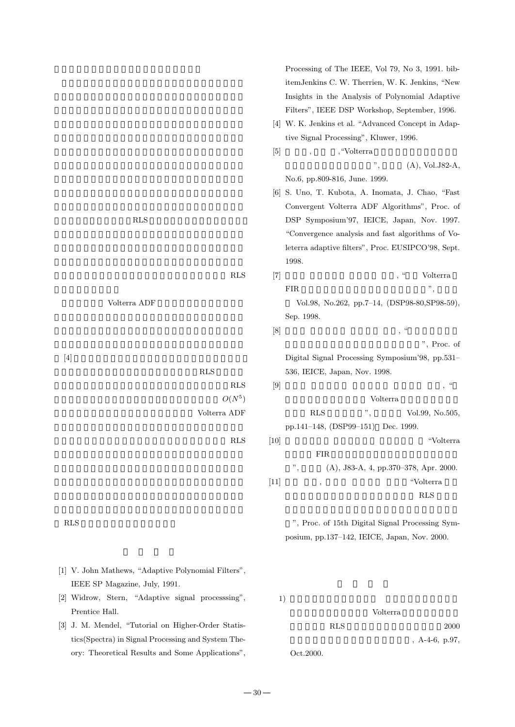$[4]$  $RLS$  $RLS$  $O(N^5)$ Volterra ADF  $RLS$ 

 $1)$ 

Volterra RLS 2000  $A-4-6$ , p.97, Oct.2000.

**RLS** Volterra ADF

害となる。その意味で,RLS 法は,白色化操作と等価的に,

Processing of The IEEE, Vol 79, No 3, 1991. bibitemJenkins C. W. Therrien, W. K. Jenkins, "New Insights in the Analysis of Polynomial Adaptive Filters", IEEE DSP Workshop, September, 1996.

- [4] W. K. Jenkins et al. "Advanced Concept in Adaptive Signal Processing", Kluwer, 1996.
- $[5]$  ,  $\ldots$  , "Volterra  $(A)$ , Vol.J82-A, No.6, pp.809-816, June. 1999.
- [6] S. Uno, T. Kubota, A. Inomata, J. Chao, "Fast Convergent Volterra ADF Algorithms", Proc. of DSP Symposium'97, IEICE, Japan, Nov. 1997. "Convergence analysis and fast algorithms of Voleterra adaptive filters", Proc. EUSIPCO'98, Sept. 1998.

[7]  $\hspace{1.6cm}$ , " Volterra

FIR  $\mathbb{R}^n$ ,  $\mathbb{R}^n$ Vol.98, No.262, pp.7–14, (DSP98-80,SP98-59), Sep. 1998.  $[8]$  , " ". Proc. of Digital Signal Processing Symposium'98, pp.531– 536, IEICE, Japan, Nov. 1998.  $[9]$ , "

Volterra RLS  $\ldots$ , Vol.99, No.505, pp.141–148, (DSP99–151) Dec. 1999.  $[10]$  "Volterra 型非線形 FIR 適応フィルタの高速収束算法に関する考

 $", \text{(A)}, \text{J83-A}, \text{4}, \text{pp.370-378}, \text{Apr. 2000}.$  $[11]$  ,  $\qquad \qquad$   $\qquad \qquad$   $\qquad \qquad$   $\qquad \qquad$   $\qquad \qquad$   $\qquad \qquad$   $\qquad \qquad$   $\qquad \qquad$   $\qquad \qquad$   $\qquad \qquad$   $\qquad \qquad$   $\qquad \qquad$   $\qquad \qquad$   $\qquad \qquad$   $\qquad \qquad$   $\qquad$   $\qquad \qquad$   $\qquad \qquad$   $\qquad$   $\qquad$   $\qquad$   $\qquad$   $\qquad$   $\qquad$   $\qquad$   $\qquad$   $\qquad$ RLS RLS

", Proc. of 15th Digital Signal Processing Symposium, pp.137–142, IEICE, Japan, Nov. 2000.

30

[1] V. John Mathews, "Adaptive Polynomial Filters",

[2] Widrow, Stern, "Adaptive signal processsing", Prentice Hall.

IEEE SP Magazine, July, 1991.

[3] J. M. Mendel, "Tutorial on Higher-Order Statistics(Spectra) in Signal Processing and System Theory: Theoretical Results and Some Applications",

 $RLS$